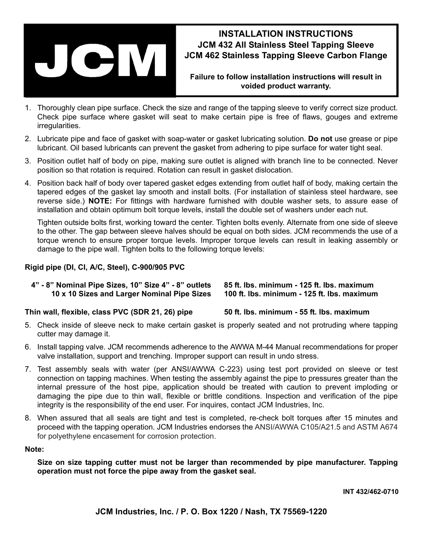

## **INSTALLATION INSTRUCTIONS JCM 432 All Stainless Steel Tapping Sleeve JCM 462 Stainless Tapping Sleeve Carbon Flange**

**Failure to follow installation instructions will result in voided product warranty.**

- 1. Thoroughly clean pipe surface. Check the size and range of the tapping sleeve to verify correct size product. Check pipe surface where gasket will seat to make certain pipe is free of flaws, gouges and extreme irregularities.
- 2. Lubricate pipe and face of gasket with soap-water or gasket lubricating solution. **Do not** use grease or pipe lubricant. Oil based lubricants can prevent the gasket from adhering to pipe surface for water tight seal.
- 3. Position outlet half of body on pipe, making sure outlet is aligned with branch line to be connected. Never position so that rotation is required. Rotation can result in gasket dislocation.
- 4. Position back half of body over tapered gasket edges extending from outlet half of body, making certain the tapered edges of the gasket lay smooth and install bolts. (For installation of stainless steel hardware, see reverse side.) **NOTE:** For fittings with hardware furnished with double washer sets, to assure ease of installation and obtain optimum bolt torque levels, install the double set of washers under each nut.

Tighten outside bolts first, working toward the center. Tighten bolts evenly. Alternate from one side of sleeve to the other. The gap between sleeve halves should be equal on both sides. JCM recommends the use of a torque wrench to ensure proper torque levels. Improper torque levels can result in leaking assembly or damage to the pipe wall. Tighten bolts to the following torque levels:

### **Rigid pipe (DI, CI, A/C, Steel), C-900/905 PVC**

| 4" - 8" Nominal Pipe Sizes, 10" Size 4" - 8" outlets | 85 ft. Ibs. minimum - 125 ft. Ibs. maximum  |
|------------------------------------------------------|---------------------------------------------|
| 10 x 10 Sizes and Larger Nominal Pipe Sizes          | 100 ft. lbs. minimum - 125 ft. lbs. maximum |

#### **Thin wall, flexible, class PVC (SDR 21, 26) pipe 50 ft. lbs. minimum - 55 ft. lbs. maximum**

- 5. Check inside of sleeve neck to make certain gasket is properly seated and not protruding where tapping cutter may damage it.
- 6. Install tapping valve. JCM recommends adherence to the AWWA M-44 Manual recommendations for proper valve installation, support and trenching. Improper support can result in undo stress.
- 7. Test assembly seals with water (per ANSI/AWWA C-223) using test port provided on sleeve or test connection on tapping machines. When testing the assembly against the pipe to pressures greater than the internal pressure of the host pipe, application should be treated with caution to prevent imploding or damaging the pipe due to thin wall, flexible or brittle conditions. Inspection and verification of the pipe integrity is the responsibility of the end user. For inquires, contact JCM Industries, Inc.
- 8. When assured that all seals are tight and test is completed, re-check bolt torques after 15 minutes and proceed with the tapping operation. JCM Industries endorses the ANSI/AWWA C105/A21.5 and ASTM A674 for polyethylene encasement for corrosion protection.

#### **Note:**

**Size on size tapping cutter must not be larger than recommended by pipe manufacturer. Tapping operation must not force the pipe away from the gasket seal.**

**INT 432/462-0710**